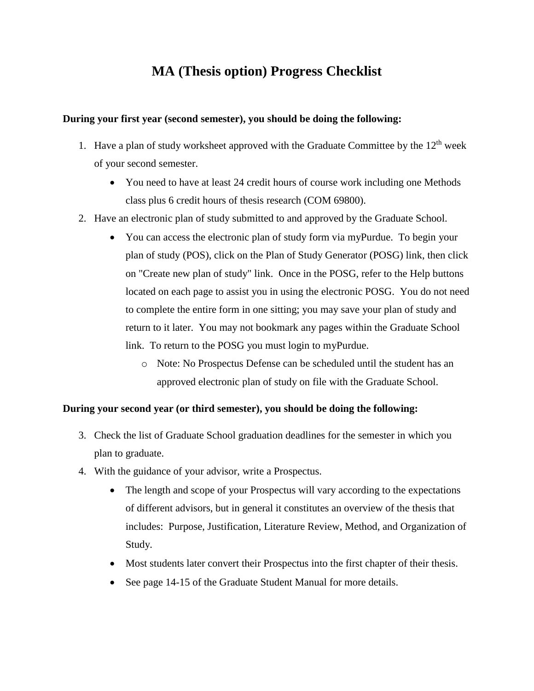## **MA (Thesis option) Progress Checklist**

## **During your first year (second semester), you should be doing the following:**

- 1. Have a plan of study worksheet approved with the Graduate Committee by the  $12<sup>th</sup>$  week of your second semester.
	- You need to have at least 24 credit hours of course work including one Methods class plus 6 credit hours of thesis research (COM 69800).
- 2. Have an electronic plan of study submitted to and approved by the Graduate School.
	- You can access the electronic plan of study form via myPurdue. To begin your plan of study (POS), click on the Plan of Study Generator (POSG) link, then click on "Create new plan of study" link. Once in the POSG, refer to the Help buttons located on each page to assist you in using the electronic POSG. You do not need to complete the entire form in one sitting; you may save your plan of study and return to it later. You may not bookmark any pages within the Graduate School link. To return to the POSG you must login to myPurdue.
		- o Note: No Prospectus Defense can be scheduled until the student has an approved electronic plan of study on file with the Graduate School.

## **During your second year (or third semester), you should be doing the following:**

- 3. Check the list of Graduate School graduation deadlines for the semester in which you plan to graduate.
- 4. With the guidance of your advisor, write a Prospectus.
	- The length and scope of your Prospectus will vary according to the expectations of different advisors, but in general it constitutes an overview of the thesis that includes: Purpose, Justification, Literature Review, Method, and Organization of Study.
	- Most students later convert their Prospectus into the first chapter of their thesis.
	- See page 14-15 of the Graduate Student Manual for more details.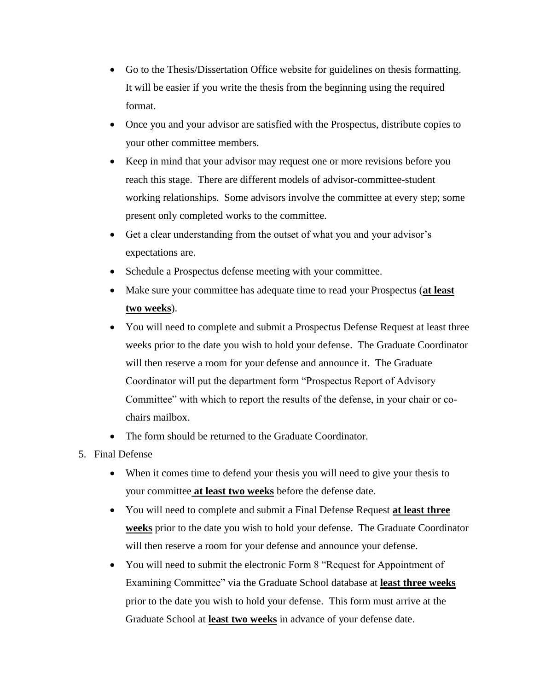- Go to the Thesis/Dissertation Office website for guidelines on thesis formatting. It will be easier if you write the thesis from the beginning using the required format.
- Once you and your advisor are satisfied with the Prospectus, distribute copies to your other committee members.
- Keep in mind that your advisor may request one or more revisions before you reach this stage. There are different models of advisor-committee-student working relationships. Some advisors involve the committee at every step; some present only completed works to the committee.
- Get a clear understanding from the outset of what you and your advisor's expectations are.
- Schedule a Prospectus defense meeting with your committee.
- Make sure your committee has adequate time to read your Prospectus (**at least two weeks**).
- You will need to complete and submit a Prospectus Defense Request at least three weeks prior to the date you wish to hold your defense. The Graduate Coordinator will then reserve a room for your defense and announce it. The Graduate Coordinator will put the department form "Prospectus Report of Advisory Committee" with which to report the results of the defense, in your chair or cochairs mailbox.
- The form should be returned to the Graduate Coordinator.
- 5. Final Defense
	- When it comes time to defend your thesis you will need to give your thesis to your committee **at least two weeks** before the defense date.
	- You will need to complete and submit a Final Defense Request **at least three weeks** prior to the date you wish to hold your defense. The Graduate Coordinator will then reserve a room for your defense and announce your defense.
	- You will need to submit the electronic Form 8 "Request for Appointment of Examining Committee" via the Graduate School database at **least three weeks** prior to the date you wish to hold your defense. This form must arrive at the Graduate School at **least two weeks** in advance of your defense date.